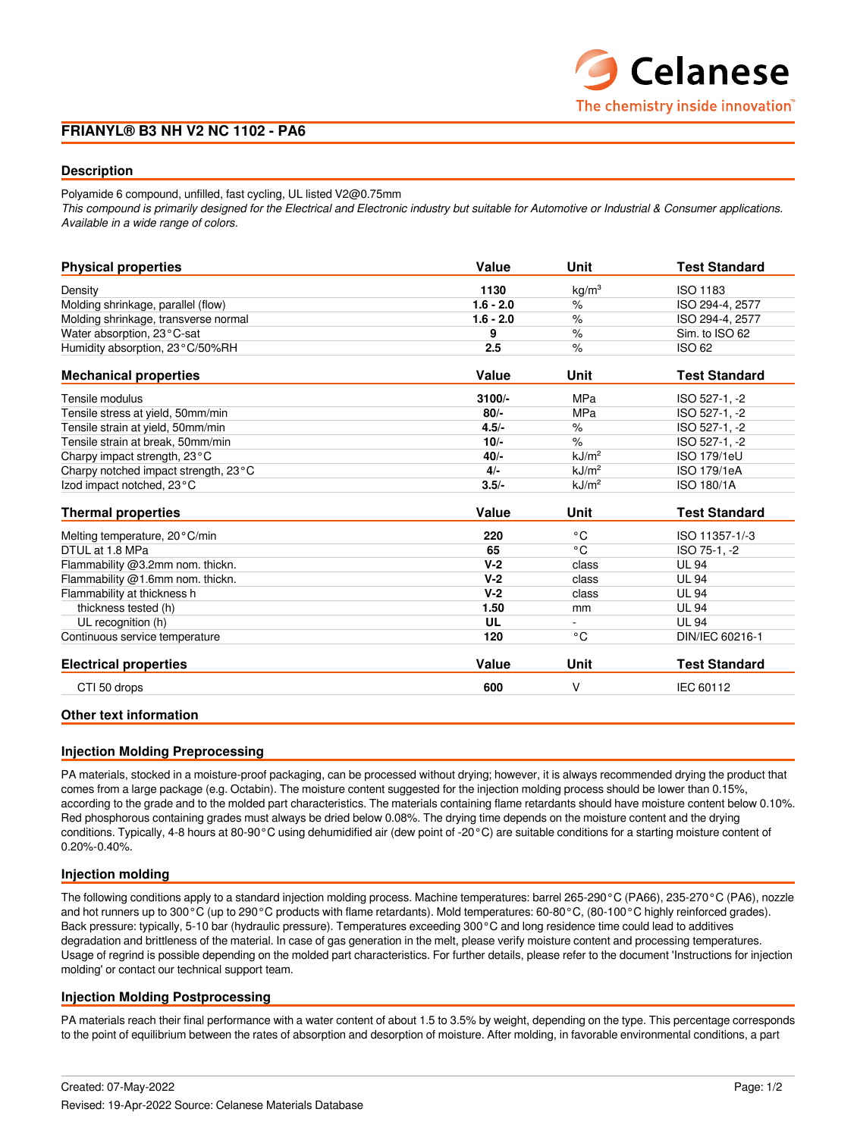## **FRIANYL® B3 NH V2 NC 1102 - PA6**

## **Description**

Polyamide 6 compound, unfilled, fast cycling, UL listed V2@0.75mm

*This compound is primarily designed for the Electrical and Electronic industry but suitable for Automotive or Industrial & Consumer applications. Available in a wide range of colors.*

| <b>Physical properties</b>           | Value       | <b>Unit</b>       | <b>Test Standard</b> |
|--------------------------------------|-------------|-------------------|----------------------|
| Density                              | 1130        | kg/m <sup>3</sup> | ISO 1183             |
| Molding shrinkage, parallel (flow)   | $1.6 - 2.0$ | $\%$              | ISO 294-4, 2577      |
| Molding shrinkage, transverse normal | $1.6 - 2.0$ | $\%$              | ISO 294-4, 2577      |
| Water absorption, 23°C-sat           | 9           | $\%$              | Sim. to ISO 62       |
| Humidity absorption, 23°C/50%RH      | 2.5         | $\%$              | <b>ISO 62</b>        |
| <b>Mechanical properties</b>         | Value       | Unit              | <b>Test Standard</b> |
| Tensile modulus                      | $3100/-$    | <b>MPa</b>        | ISO 527-1, -2        |
| Tensile stress at yield, 50mm/min    | $80/-$      | <b>MPa</b>        | ISO 527-1, -2        |
| Tensile strain at yield, 50mm/min    | $4.5/-$     | $\%$              | ISO 527-1, -2        |
| Tensile strain at break, 50mm/min    | $10/-$      | $\%$              | ISO 527-1, -2        |
| Charpy impact strength, 23°C         | $40/-$      | kJ/m <sup>2</sup> | <b>ISO 179/1eU</b>   |
| Charpy notched impact strength, 23°C | 4/          | kJ/m <sup>2</sup> | ISO 179/1eA          |
| Izod impact notched, 23°C            | $3.5/-$     | kJ/m <sup>2</sup> | <b>ISO 180/1A</b>    |
| <b>Thermal properties</b>            | Value       | Unit              | <b>Test Standard</b> |
| Melting temperature, 20°C/min        | 220         | °C                | ISO 11357-1/-3       |
| DTUL at 1.8 MPa                      | 65          | $^{\circ}$ C      | ISO 75-1, -2         |
| Flammability @3.2mm nom. thickn.     | $V-2$       | class             | <b>UL 94</b>         |
| Flammability @1.6mm nom. thickn.     | $V-2$       | class             | <b>UL 94</b>         |
| Flammability at thickness h          | $V-2$       | class             | <b>UL 94</b>         |
| thickness tested (h)                 | 1.50        | mm                | <b>UL 94</b>         |
| UL recognition (h)                   | UL          | $\blacksquare$    | <b>UL 94</b>         |
| Continuous service temperature       | 120         | °C                | DIN/IEC 60216-1      |
| <b>Electrical properties</b>         | Value       | Unit              | <b>Test Standard</b> |
| CTI 50 drops                         | 600         | V                 | IEC 60112            |
|                                      |             |                   |                      |

## **Other text information**

## **Injection Molding Preprocessing**

PA materials, stocked in a moisture-proof packaging, can be processed without drying; however, it is always recommended drying the product that comes from a large package (e.g. Octabin). The moisture content suggested for the injection molding process should be lower than 0.15%, according to the grade and to the molded part characteristics. The materials containing flame retardants should have moisture content below 0.10%. Red phosphorous containing grades must always be dried below 0.08%. The drying time depends on the moisture content and the drying conditions. Typically, 4-8 hours at 80-90°C using dehumidified air (dew point of -20°C) are suitable conditions for a starting moisture content of 0.20%-0.40%.

## **Injection molding**

The following conditions apply to a standard injection molding process. Machine temperatures: barrel 265-290°C (PA66), 235-270°C (PA6), nozzle and hot runners up to 300°C (up to 290°C products with flame retardants). Mold temperatures: 60-80°C, (80-100°C highly reinforced grades). Back pressure: typically, 5-10 bar (hydraulic pressure). Temperatures exceeding 300°C and long residence time could lead to additives degradation and brittleness of the material. In case of gas generation in the melt, please verify moisture content and processing temperatures. Usage of regrind is possible depending on the molded part characteristics. For further details, please refer to the document 'Instructions for injection molding' or contact our technical support team.

## **Injection Molding Postprocessing**

PA materials reach their final performance with a water content of about 1.5 to 3.5% by weight, depending on the type. This percentage corresponds to the point of equilibrium between the rates of absorption and desorption of moisture. After molding, in favorable environmental conditions, a part